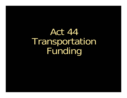Act 44 Transportation Funding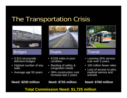#### The Transportation Crisis



#### Bridges Roads Transit

- 5,913 structurally deficient bridges
- Highest number of any state
- Average age 50 years



- 8,528 miles in poor condition
- Backlog of safety & congestion needs
- $\bullet$  36% construction cost increase last 2 years





- Looming 25% service cuts over 5 years
- 100 million fewer rides
- $\bullet$  Loss of access to jobs, medical service and schools

#### **Total Commission Need: \$1,725 million**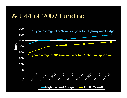## Act 44 of 2007 Funding

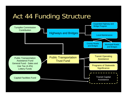## Act 44 Funding Structure

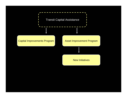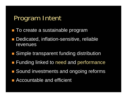#### Program Intent

- **To create a sustainable program**
- **Dedicated, inflation-sensitive, reliable** revenues
- **Simple transparent funding distribution**
- **Funding linked to need and performance**
- **BITE Sound investments and ongoing reforms**
- **E** Accountable and efficient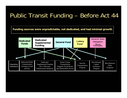#### Public Transit Funding – Before Act 44

**Funding sources were unpredictable, not dedicated, and had minimal growth**

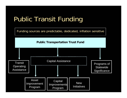# Public Transit Funding

Funding sources are predictable, dedicated, inflation sensitive

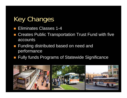# Key Changes

- **Eliminates Classes 1-4**
- $\left\vert \cdot\right\vert$  Creates Public Transportation Trust Fund with five accounts
- Funding distributed based on need and performance
- Fully funds Programs of Statewide Significance

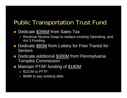#### Public Transportation Trust Fund

#### $\Box$ Dedicate \$396M from Sales Tax

- Revenue Neutral Swap to replace existing Operating, and Act 3 Funding
- Dedicate **\$80M** from Lottery for Free Transit for Seniors
- Dedicate additional **\$300M** from Pennsylvania Turnpike Commission
- Maintain PTAF funding of \$180M
	- \$121M to PTTF
	- \$59M to pay existing debt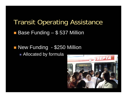#### Transit Operating Assistance Base Funding - \$537 Million

#### **Service Service New Funding - \$250 Million** ■ Allocated by formula

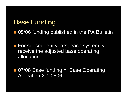#### Base Funding

■ 05/06 funding published in the PA Bulletin

**For subsequent years, each system will** receive the adjusted base operating allocation

■ 07/08 Base funding = Base Operating Allocation X 1.0506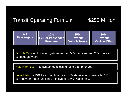#### Transit Operating Formula  $$250$  Million



Growth Caps – No system gets more than 50% first year and 20% more in subsequent years

Hold Harmless - No system gets less funding than prior year

Local Match - 15% local match required. Systems may increase by 5% current year match until they achieve full 15%. Cash only.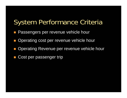#### System Performance Criteria

- Passengers per revenue vehicle hour
- Operating cost per revenue vehicle hour
- $\mathbb{R}^n$ Operating Revenue per revenue vehicle hour
- $\mathbb{R}^n$ Cost per passenger trip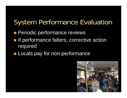#### System Performance Evaluation

- **Periodic performance reviews**
- **If performance falters, corrective action** required
- **Locals pay for non-performance**

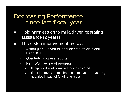Decreasing Performance since last fiscal year

- $\Box$  Hold harmless on formula driven operating assistance (2 years)
- $\Box$  Three step improvement process
	- 1. Action plan – given to local elected officials and PennDOT
	- 2.Quarterly progress reports
	- 3. PennDOT review of progress
		- п If improved – full formula funding restored
		- П If not improved – Hold harmless released – system get negative impact of funding formula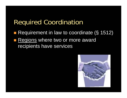#### Required Coordination

- Requirement in law to coordinate (§ 1512)
- **Regions where two or more award** recipients have services

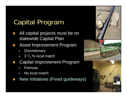# Capital Program

- All capital projects must be on statewide Capital Plan
	- Asset Improvement Program
	- a. **Discretionary**
	- $\mathcal{L}_{\mathcal{A}}$  $\Box$  3  $^{1}/_{3}$  % local match
	- Capital Improvement Program
	- a a Formula

**Service Service** 

- a. No local match
- New Initiatives (Fixed guideways)



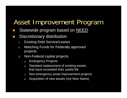## Asset Improvement Program

- Statewide program based on NEED
- Discretionary distribution
	- 1.Existing Debt Service/Leases
	- 2. Matching Funds for Federally approved projects
	- 3. Non-Federal capital projects
		- a) Emergency Projects
		- b) Standard replacement of existing assets that have exceeded their useful life
		- c) Non-emergency asset improvement projects
		- d) Acquisition of new assets (not New Starts)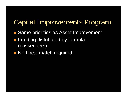## Capital Improvements Program

- Same priorities as Asset Improvement
- **Funding distributed by formula** (passengers)
- **No Local match required**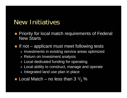#### New Initiatives

- **Priority for local match requirements of Federal** New Starts
- If not  $-$  applicant must meet following tests
	- $\mathcal{L}_{\mathcal{A}}$ Investments in existing service areas optimized
	- Return on Investment analysis
	- $\mathcal{L}_{\mathcal{A}}$ Local dedicated funding for operating
	- $\mathcal{L}_{\mathcal{A}}$ Local ability to construct, manage and operate
	- Integrated land use plan in place
- **Local Match no less than 3**  $\frac{1}{3}$  %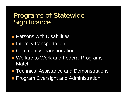#### Programs of Statewide **Significance**

- **Persons with Disabilities**
- **Intercity transportation**
- **E Community Transportation**
- Welfare to Work and Federal Programs Match
- **Technical Assistance and Demonstrations**
- **Program Oversight and Administration**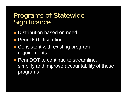#### Programs of Statewide **Significance**

- **Distribution based on need**
- **PennDOT** discretion
- Consistent with existing program requirements
- **PennDOT to continue to streamline,** simplify and improve accountability of these programs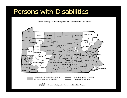#### Persons with Disabilities

**Rural Transportation Program for Persons with Disabilities** 



Counties offering reduced transportation services for persons with disabilities

Remaining counties eligible for Persons with Disabilities



Counties not eligible for Persons with Disabilities Program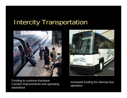## Intercity Transportation



Funding to continue Keystone Corridor improvements and operating assistance



Increased funding for intercity bus operators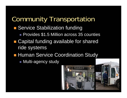## Community Transportation

- Service Stabilization funding
	- **Provides \$1.5 Million across 35 counties**
- Capital funding available for shared ride systems
- **Human Service Coordination Study**

■ Multi-agency study



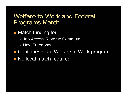#### Welfare to Work and Federal Programs Match

- **Natch funding for:** 
	- Job Access Reverse Commute
	- New Freedoms
- **n** Continues state Welfare to Work program **No local match required**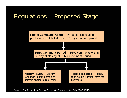#### Regulations – Proposed Stage

**Public Comment Period.** - Proposed Regulations published in PA bulletin with 30 day comment period

**IRRC Comment Period** - IRRC comments within 30 day of closing of Public Comment Period

**Agency Review** – Agency responds to comments and delivers final form regulation

**Rulemaking ends –** Agency does not deliver final form reg in 2 years

Source: The Regulatory Review Process in Pennsylvania, Feb. 2003, IRRC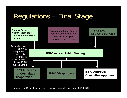# Regulations – Final Stage



Source: The Regulatory Review Process in Pennsylvania, Feb. 2003, IRR C